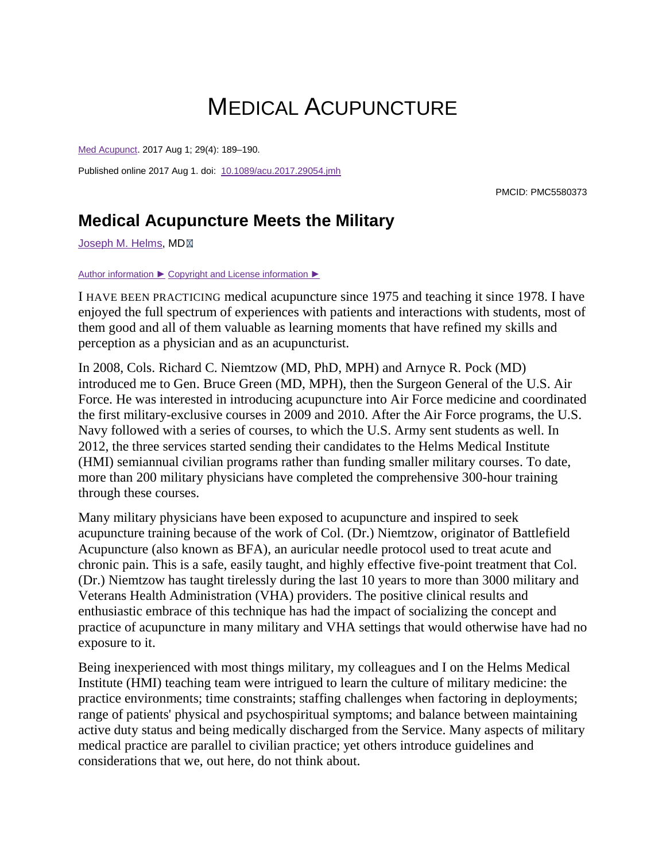## MEDICAL ACUPUNCTURE

[Med Acupunct.](https://www.ncbi.nlm.nih.gov/pmc/articles/PMC5580373/) 2017 Aug 1; 29(4): 189–190.

Published online 2017 Aug 1. doi: [10.1089/acu.2017.29054.jmh](https://dx.doi.org/10.1089%2Facu.2017.29054.jmh)

PMCID: PMC5580373

## **Medical Acupuncture Meets the Military**

[Joseph M. Helms,](https://www.ncbi.nlm.nih.gov/pubmed/?term=Helms%20JM%5BAuthor%5D&cauthor=true&cauthor_uid=28874919) MD

## [Author information](https://www.ncbi.nlm.nih.gov/pmc/articles/PMC5580373/) ► [Copyright and License information](https://www.ncbi.nlm.nih.gov/pmc/articles/PMC5580373/) ►

I HAVE BEEN PRACTICING medical acupuncture since 1975 and teaching it since 1978. I have enjoyed the full spectrum of experiences with patients and interactions with students, most of them good and all of them valuable as learning moments that have refined my skills and perception as a physician and as an acupuncturist.

In 2008, Cols. Richard C. Niemtzow (MD, PhD, MPH) and Arnyce R. Pock (MD) introduced me to Gen. Bruce Green (MD, MPH), then the Surgeon General of the U.S. Air Force. He was interested in introducing acupuncture into Air Force medicine and coordinated the first military-exclusive courses in 2009 and 2010. After the Air Force programs, the U.S. Navy followed with a series of courses, to which the U.S. Army sent students as well. In 2012, the three services started sending their candidates to the Helms Medical Institute (HMI) semiannual civilian programs rather than funding smaller military courses. To date, more than 200 military physicians have completed the comprehensive 300-hour training through these courses.

Many military physicians have been exposed to acupuncture and inspired to seek acupuncture training because of the work of Col. (Dr.) Niemtzow, originator of Battlefield Acupuncture (also known as BFA), an auricular needle protocol used to treat acute and chronic pain. This is a safe, easily taught, and highly effective five-point treatment that Col. (Dr.) Niemtzow has taught tirelessly during the last 10 years to more than 3000 military and Veterans Health Administration (VHA) providers. The positive clinical results and enthusiastic embrace of this technique has had the impact of socializing the concept and practice of acupuncture in many military and VHA settings that would otherwise have had no exposure to it.

Being inexperienced with most things military, my colleagues and I on the Helms Medical Institute (HMI) teaching team were intrigued to learn the culture of military medicine: the practice environments; time constraints; staffing challenges when factoring in deployments; range of patients' physical and psychospiritual symptoms; and balance between maintaining active duty status and being medically discharged from the Service. Many aspects of military medical practice are parallel to civilian practice; yet others introduce guidelines and considerations that we, out here, do not think about.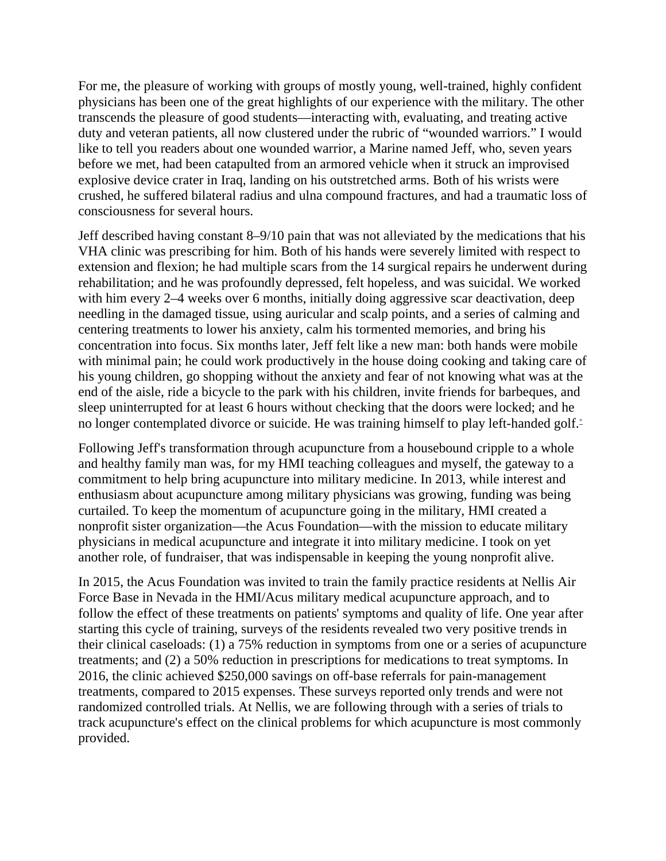For me, the pleasure of working with groups of mostly young, well-trained, highly confident physicians has been one of the great highlights of our experience with the military. The other transcends the pleasure of good students—interacting with, evaluating, and treating active duty and veteran patients, all now clustered under the rubric of "wounded warriors." I would like to tell you readers about one wounded warrior, a Marine named Jeff, who, seven years before we met, had been catapulted from an armored vehicle when it struck an improvised explosive device crater in Iraq, landing on his outstretched arms. Both of his wrists were crushed, he suffered bilateral radius and ulna compound fractures, and had a traumatic loss of consciousness for several hours.

Jeff described having constant 8–9/10 pain that was not alleviated by the medications that his VHA clinic was prescribing for him. Both of his hands were severely limited with respect to extension and flexion; he had multiple scars from the 14 surgical repairs he underwent during rehabilitation; and he was profoundly depressed, felt hopeless, and was suicidal. We worked with him every 2–4 weeks over 6 months, initially doing aggressive scar deactivation, deep needling in the damaged tissue, using auricular and scalp points, and a series of calming and centering treatments to lower his anxiety, calm his tormented memories, and bring his concentration into focus. Six months later, Jeff felt like a new man: both hands were mobile with minimal pain; he could work productively in the house doing cooking and taking care of his young children, go shopping without the anxiety and fear of not knowing what was at the end of the aisle, ride a bicycle to the park with his children, invite friends for barbeques, and sleep uninterrupted for at least 6 hours without checking that the doors were locked; and he no longer contemplated divorce or suicide. He was training himself to play left-handed golf[.\\*](https://www.ncbi.nlm.nih.gov/pmc/articles/PMC5580373/#fn1)

Following Jeff's transformation through acupuncture from a housebound cripple to a whole and healthy family man was, for my HMI teaching colleagues and myself, the gateway to a commitment to help bring acupuncture into military medicine. In 2013, while interest and enthusiasm about acupuncture among military physicians was growing, funding was being curtailed. To keep the momentum of acupuncture going in the military, HMI created a nonprofit sister organization—the Acus Foundation—with the mission to educate military physicians in medical acupuncture and integrate it into military medicine. I took on yet another role, of fundraiser, that was indispensable in keeping the young nonprofit alive.

In 2015, the Acus Foundation was invited to train the family practice residents at Nellis Air Force Base in Nevada in the HMI/Acus military medical acupuncture approach, and to follow the effect of these treatments on patients' symptoms and quality of life. One year after starting this cycle of training, surveys of the residents revealed two very positive trends in their clinical caseloads: (1) a 75% reduction in symptoms from one or a series of acupuncture treatments; and (2) a 50% reduction in prescriptions for medications to treat symptoms. In 2016, the clinic achieved \$250,000 savings on off-base referrals for pain-management treatments, compared to 2015 expenses. These surveys reported only trends and were not randomized controlled trials. At Nellis, we are following through with a series of trials to track acupuncture's effect on the clinical problems for which acupuncture is most commonly provided.